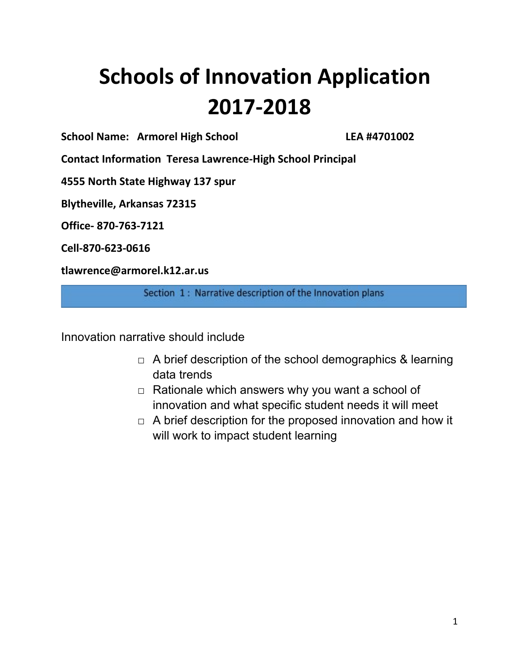# **Schools of Innovation Application 2017-2018**

**School Name: Armorel High School LEA #4701002**

**Contact Information Teresa Lawrence-High School Principal**

**4555 North State Highway 137 spur**

**Blytheville, Arkansas 72315**

**Office- 870-763-7121**

**Cell-870-623-0616**

**tlawrence@armorel.k12.ar.us**

Section 1: Narrative description of the Innovation plans

Innovation narrative should include

- $\Box$  A brief description of the school demographics & learning data trends
- $\Box$  Rationale which answers why you want a school of innovation and what specific student needs it will meet
- $\Box$  A brief description for the proposed innovation and how it will work to impact student learning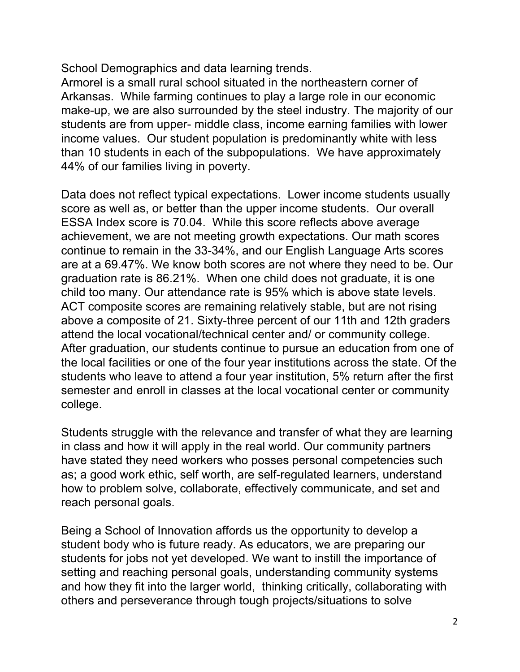School Demographics and data learning trends.

Armorel is a small rural school situated in the northeastern corner of Arkansas. While farming continues to play a large role in our economic make-up, we are also surrounded by the steel industry. The majority of our students are from upper- middle class, income earning families with lower income values. Our student population is predominantly white with less than 10 students in each of the subpopulations. We have approximately 44% of our families living in poverty.

Data does not reflect typical expectations. Lower income students usually score as well as, or better than the upper income students. Our overall ESSA Index score is 70.04. While this score reflects above average achievement, we are not meeting growth expectations. Our math scores continue to remain in the 33-34%, and our English Language Arts scores are at a 69.47%. We know both scores are not where they need to be. Our graduation rate is 86.21%. When one child does not graduate, it is one child too many. Our attendance rate is 95% which is above state levels. ACT composite scores are remaining relatively stable, but are not rising above a composite of 21. Sixty-three percent of our 11th and 12th graders attend the local vocational/technical center and/ or community college. After graduation, our students continue to pursue an education from one of the local facilities or one of the four year institutions across the state. Of the students who leave to attend a four year institution, 5% return after the first semester and enroll in classes at the local vocational center or community college.

Students struggle with the relevance and transfer of what they are learning in class and how it will apply in the real world. Our community partners have stated they need workers who posses personal competencies such as; a good work ethic, self worth, are self-regulated learners, understand how to problem solve, collaborate, effectively communicate, and set and reach personal goals.

Being a School of Innovation affords us the opportunity to develop a student body who is future ready. As educators, we are preparing our students for jobs not yet developed. We want to instill the importance of setting and reaching personal goals, understanding community systems and how they fit into the larger world, thinking critically, collaborating with others and perseverance through tough projects/situations to solve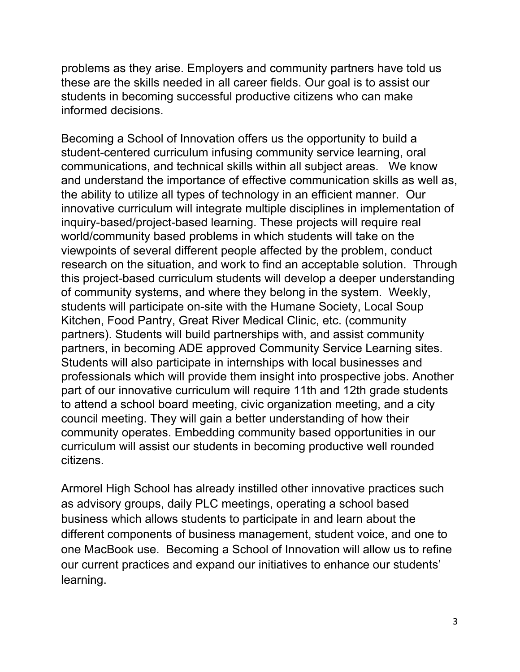problems as they arise. Employers and community partners have told us these are the skills needed in all career fields. Our goal is to assist our students in becoming successful productive citizens who can make informed decisions.

Becoming a School of Innovation offers us the opportunity to build a student-centered curriculum infusing community service learning, oral communications, and technical skills within all subject areas. We know and understand the importance of effective communication skills as well as, the ability to utilize all types of technology in an efficient manner. Our innovative curriculum will integrate multiple disciplines in implementation of inquiry-based/project-based learning. These projects will require real world/community based problems in which students will take on the viewpoints of several different people affected by the problem, conduct research on the situation, and work to find an acceptable solution. Through this project-based curriculum students will develop a deeper understanding of community systems, and where they belong in the system. Weekly, students will participate on-site with the Humane Society, Local Soup Kitchen, Food Pantry, Great River Medical Clinic, etc. (community partners). Students will build partnerships with, and assist community partners, in becoming ADE approved Community Service Learning sites. Students will also participate in internships with local businesses and professionals which will provide them insight into prospective jobs. Another part of our innovative curriculum will require 11th and 12th grade students to attend a school board meeting, civic organization meeting, and a city council meeting. They will gain a better understanding of how their community operates. Embedding community based opportunities in our curriculum will assist our students in becoming productive well rounded citizens.

Armorel High School has already instilled other innovative practices such as advisory groups, daily PLC meetings, operating a school based business which allows students to participate in and learn about the different components of business management, student voice, and one to one MacBook use. Becoming a School of Innovation will allow us to refine our current practices and expand our initiatives to enhance our students' learning.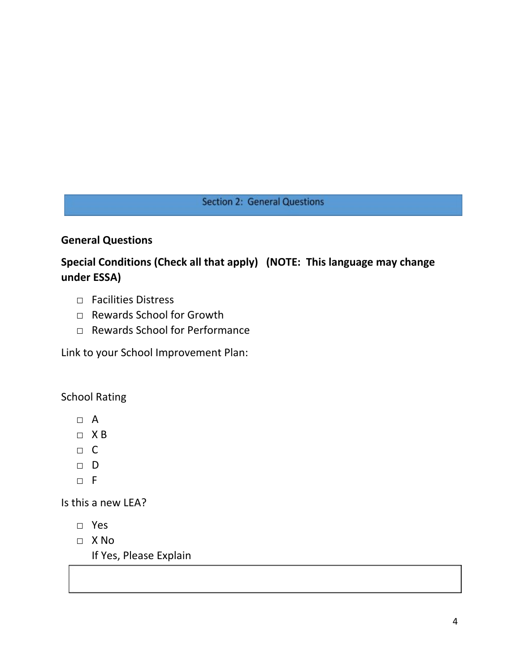# **Section 2: General Questions**

# **General Questions**

# **Special Conditions (Check all that apply) (NOTE: This language may change under ESSA)**

- □ Facilities Distress
- □ Rewards School for Growth
- □ Rewards School for Performance

Link to your School Improvement Plan:

School Rating

- □ A
- □ X B
- □ C
- □ D
- □ F

Is this a new LEA?

- □ Yes
- □ X No

If Yes, Please Explain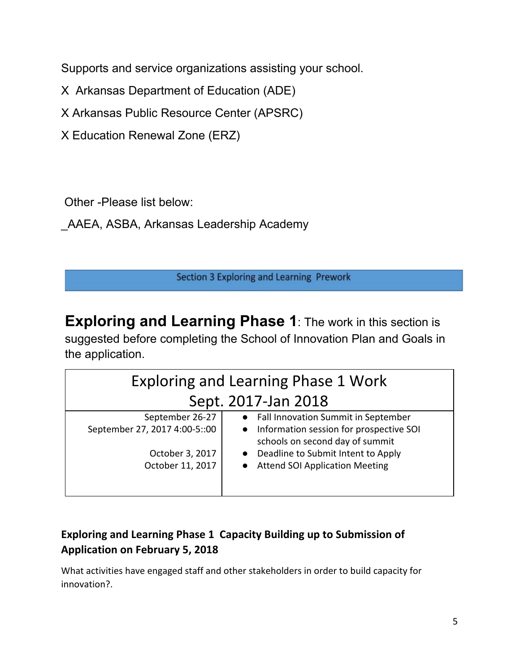Supports and service organizations assisting your school.

X Arkansas Department of Education (ADE)

X Arkansas Public Resource Center (APSRC)

X Education Renewal Zone (ERZ)

Other -Please list below:

\_AAEA, ASBA, Arkansas Leadership Academy

Section 3 Exploring and Learning Prework

**Exploring and Learning Phase 1**: The work in this section is suggested before completing the School of Innovation Plan and Goals in the application.

| <b>Exploring and Learning Phase 1 Work</b> |                                                                              |  |  |
|--------------------------------------------|------------------------------------------------------------------------------|--|--|
| Sept. 2017-Jan 2018                        |                                                                              |  |  |
| September 26-27                            | • Fall Innovation Summit in September                                        |  |  |
| September 27, 2017 4:00-5::00              | • Information session for prospective SOI<br>schools on second day of summit |  |  |
| October 3, 2017                            | Deadline to Submit Intent to Apply<br>$\bullet$                              |  |  |
| October 11, 2017                           | <b>Attend SOI Application Meeting</b><br>$\bullet$                           |  |  |
|                                            |                                                                              |  |  |

# **Exploring and Learning Phase 1 Capacity Building up to Submission of Application on February 5, 2018**

What activities have engaged staff and other stakeholders in order to build capacity for innovation?.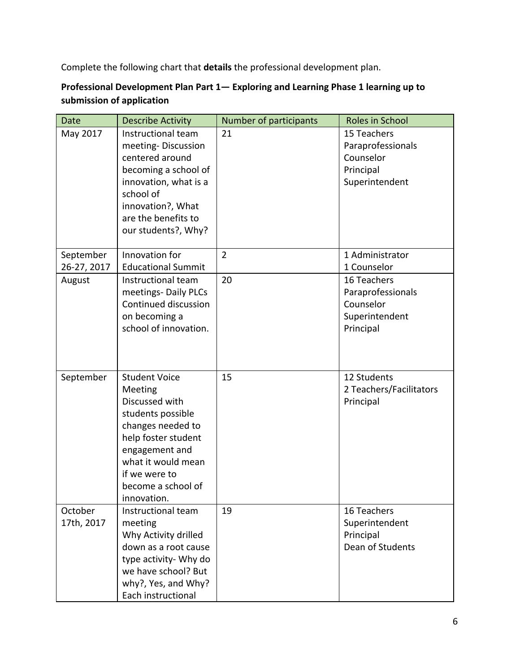Complete the following chart that **details** the professional development plan.

# **Professional Development Plan Part 1— Exploring and Learning Phase 1 learning up to submission of application**

| <b>Date</b>              | <b>Describe Activity</b>                                                                                                                                                                                         | Number of participants | Roles in School                                                              |
|--------------------------|------------------------------------------------------------------------------------------------------------------------------------------------------------------------------------------------------------------|------------------------|------------------------------------------------------------------------------|
| May 2017                 | Instructional team<br>meeting-Discussion<br>centered around<br>becoming a school of<br>innovation, what is a<br>school of<br>innovation?, What<br>are the benefits to<br>our students?, Why?                     | 21                     | 15 Teachers<br>Paraprofessionals<br>Counselor<br>Principal<br>Superintendent |
| September<br>26-27, 2017 | Innovation for<br><b>Educational Summit</b>                                                                                                                                                                      | $\overline{2}$         | 1 Administrator<br>1 Counselor                                               |
| August                   | Instructional team<br>meetings- Daily PLCs<br>Continued discussion<br>on becoming a<br>school of innovation.                                                                                                     | 20                     | 16 Teachers<br>Paraprofessionals<br>Counselor<br>Superintendent<br>Principal |
| September                | <b>Student Voice</b><br>Meeting<br>Discussed with<br>students possible<br>changes needed to<br>help foster student<br>engagement and<br>what it would mean<br>if we were to<br>become a school of<br>innovation. | 15                     | 12 Students<br>2 Teachers/Facilitators<br>Principal                          |
| October<br>17th, 2017    | Instructional team<br>meeting<br>Why Activity drilled<br>down as a root cause<br>type activity- Why do<br>we have school? But<br>why?, Yes, and Why?<br>Each instructional                                       | 19                     | 16 Teachers<br>Superintendent<br>Principal<br>Dean of Students               |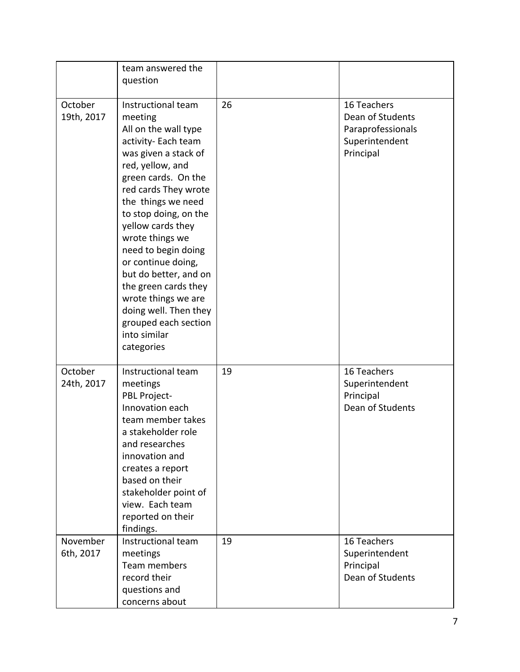|                       | team answered the<br>question                                                                                                                                                                                                                                                                                                                                                                                                                                      |    |                                                                                     |
|-----------------------|--------------------------------------------------------------------------------------------------------------------------------------------------------------------------------------------------------------------------------------------------------------------------------------------------------------------------------------------------------------------------------------------------------------------------------------------------------------------|----|-------------------------------------------------------------------------------------|
| October<br>19th, 2017 | Instructional team<br>meeting<br>All on the wall type<br>activity- Each team<br>was given a stack of<br>red, yellow, and<br>green cards. On the<br>red cards They wrote<br>the things we need<br>to stop doing, on the<br>yellow cards they<br>wrote things we<br>need to begin doing<br>or continue doing,<br>but do better, and on<br>the green cards they<br>wrote things we are<br>doing well. Then they<br>grouped each section<br>into similar<br>categories | 26 | 16 Teachers<br>Dean of Students<br>Paraprofessionals<br>Superintendent<br>Principal |
| October<br>24th, 2017 | Instructional team<br>meetings<br>PBL Project-<br>Innovation each<br>team member takes<br>a stakeholder role<br>and researches<br>innovation and<br>creates a report<br>based on their<br>stakeholder point of<br>view. Each team<br>reported on their<br>findings.                                                                                                                                                                                                | 19 | 16 Teachers<br>Superintendent<br>Principal<br>Dean of Students                      |
| November<br>6th, 2017 | Instructional team<br>meetings<br>Team members<br>record their<br>questions and<br>concerns about                                                                                                                                                                                                                                                                                                                                                                  | 19 | 16 Teachers<br>Superintendent<br>Principal<br>Dean of Students                      |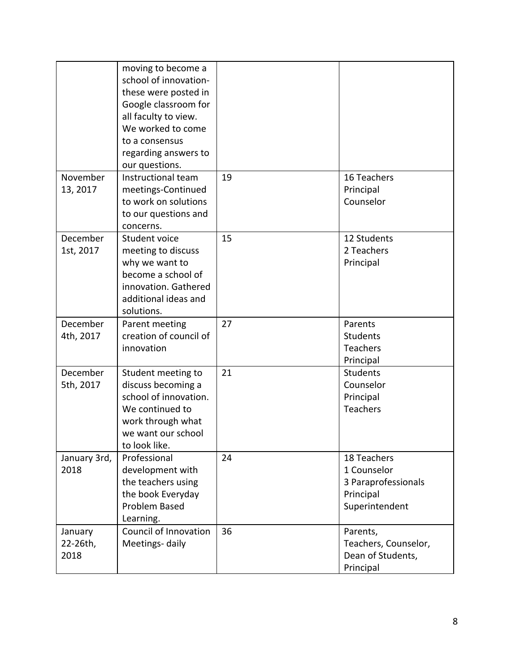|                             | moving to become a<br>school of innovation-<br>these were posted in<br>Google classroom for<br>all faculty to view.<br>We worked to come<br>to a consensus<br>regarding answers to<br>our questions. |    |                                                                                  |
|-----------------------------|------------------------------------------------------------------------------------------------------------------------------------------------------------------------------------------------------|----|----------------------------------------------------------------------------------|
| November<br>13, 2017        | Instructional team<br>meetings-Continued<br>to work on solutions<br>to our questions and<br>concerns.                                                                                                | 19 | 16 Teachers<br>Principal<br>Counselor                                            |
| December<br>1st, 2017       | Student voice<br>meeting to discuss<br>why we want to<br>become a school of<br>innovation. Gathered<br>additional ideas and<br>solutions.                                                            | 15 | 12 Students<br>2 Teachers<br>Principal                                           |
| December<br>4th, 2017       | Parent meeting<br>creation of council of<br>innovation                                                                                                                                               | 27 | Parents<br><b>Students</b><br>Teachers<br>Principal                              |
| December<br>5th, 2017       | Student meeting to<br>discuss becoming a<br>school of innovation.<br>We continued to<br>work through what<br>we want our school<br>to look like.                                                     | 21 | <b>Students</b><br>Counselor<br>Principal<br>Teachers                            |
| January 3rd,<br>2018        | Professional<br>development with<br>the teachers using<br>the book Everyday<br>Problem Based<br>Learning.                                                                                            | 24 | 18 Teachers<br>1 Counselor<br>3 Paraprofessionals<br>Principal<br>Superintendent |
| January<br>22-26th,<br>2018 | Council of Innovation<br>Meetings-daily                                                                                                                                                              | 36 | Parents,<br>Teachers, Counselor,<br>Dean of Students,<br>Principal               |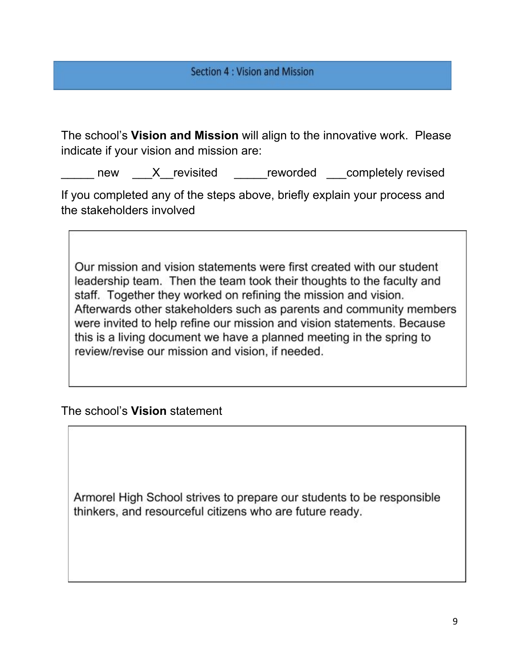The school's **Vision and Mission** will align to the innovative work. Please indicate if your vision and mission are:

new X revisited reworded completely revised

If you completed any of the steps above, briefly explain your process and the stakeholders involved

Our mission and vision statements were first created with our student leadership team. Then the team took their thoughts to the faculty and staff. Together they worked on refining the mission and vision. Afterwards other stakeholders such as parents and community members were invited to help refine our mission and vision statements. Because this is a living document we have a planned meeting in the spring to review/revise our mission and vision, if needed.

The school's **Vision** statement

Armorel High School strives to prepare our students to be responsible thinkers, and resourceful citizens who are future ready.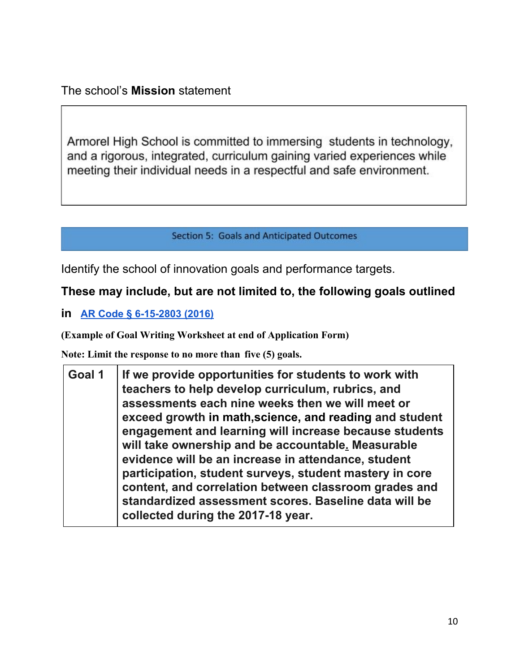Armorel High School is committed to immersing students in technology, and a rigorous, integrated, curriculum gaining varied experiences while meeting their individual needs in a respectful and safe environment.

**Section 5: Goals and Anticipated Outcomes** 

Identify the school of innovation goals and performance targets.

# **These may include, but are not limited to, the following goals outlined**

**in [AR Code § 6-15-2803 \(2016\)](http://law.justia.com/codes/arkansas/2016/title-6/subtitle-2/chapter-15/subchapter-28/section-6-15-2803)**

**(Example of Goal Writing Worksheet at end of Application Form)**

**Note: Limit the response to no more than five (5) goals.**

| Goal 1 | If we provide opportunities for students to work with<br>teachers to help develop curriculum, rubrics, and<br>assessments each nine weeks then we will meet or<br>exceed growth in math, science, and reading and student<br>engagement and learning will increase because students<br>will take ownership and be accountable. Measurable<br>evidence will be an increase in attendance, student<br>participation, student surveys, student mastery in core<br>content, and correlation between classroom grades and<br>standardized assessment scores. Baseline data will be |
|--------|-------------------------------------------------------------------------------------------------------------------------------------------------------------------------------------------------------------------------------------------------------------------------------------------------------------------------------------------------------------------------------------------------------------------------------------------------------------------------------------------------------------------------------------------------------------------------------|
|        | collected during the 2017-18 year.                                                                                                                                                                                                                                                                                                                                                                                                                                                                                                                                            |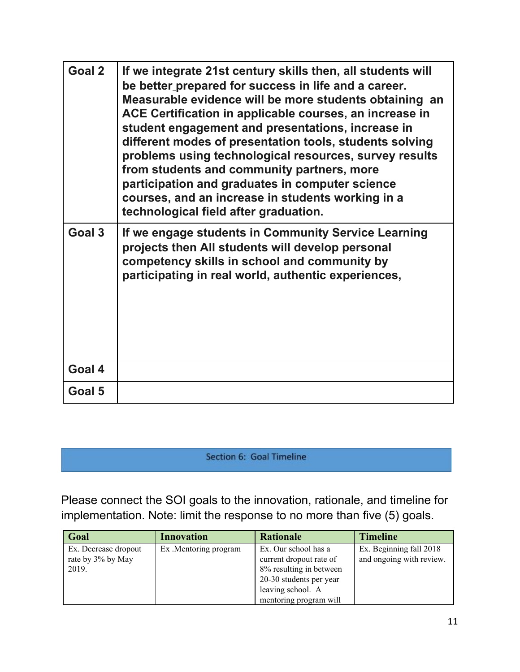| Goal 2 | If we integrate 21st century skills then, all students will<br>be better prepared for success in life and a career.<br>Measurable evidence will be more students obtaining an<br>ACE Certification in applicable courses, an increase in<br>student engagement and presentations, increase in<br>different modes of presentation tools, students solving<br>problems using technological resources, survey results<br>from students and community partners, more<br>participation and graduates in computer science<br>courses, and an increase in students working in a<br>technological field after graduation. |
|--------|-------------------------------------------------------------------------------------------------------------------------------------------------------------------------------------------------------------------------------------------------------------------------------------------------------------------------------------------------------------------------------------------------------------------------------------------------------------------------------------------------------------------------------------------------------------------------------------------------------------------|
| Goal 3 | If we engage students in Community Service Learning<br>projects then All students will develop personal<br>competency skills in school and community by<br>participating in real world, authentic experiences,                                                                                                                                                                                                                                                                                                                                                                                                    |
| Goal 4 |                                                                                                                                                                                                                                                                                                                                                                                                                                                                                                                                                                                                                   |
| Goal 5 |                                                                                                                                                                                                                                                                                                                                                                                                                                                                                                                                                                                                                   |

Section 6: Goal Timeline

Please connect the SOI goals to the innovation, rationale, and timeline for implementation. Note: limit the response to no more than five (5) goals.

| Goal                                               | <b>Innovation</b>     | <b>Rationale</b>                                                                                                                                     | <b>Timeline</b>                                     |
|----------------------------------------------------|-----------------------|------------------------------------------------------------------------------------------------------------------------------------------------------|-----------------------------------------------------|
| Ex. Decrease dropout<br>rate by 3% by May<br>2019. | Ex. Mentoring program | Ex. Our school has a<br>current dropout rate of<br>8% resulting in between<br>20-30 students per year<br>leaving school. A<br>mentoring program will | Ex. Beginning fall 2018<br>and ongoing with review. |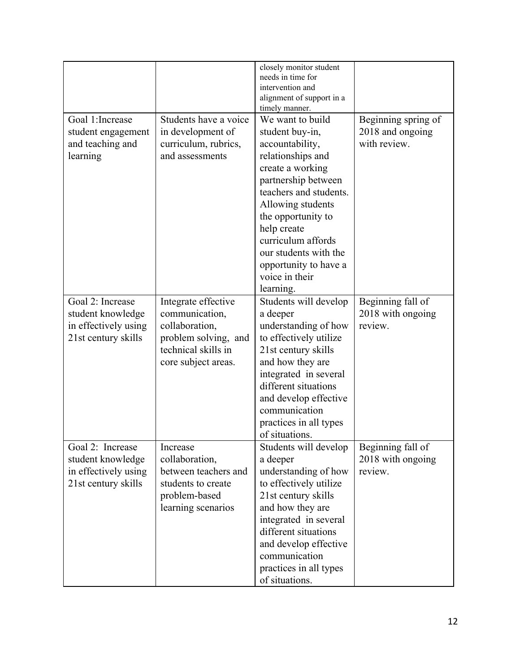|                                                                                      |                                                                                                                               | closely monitor student<br>needs in time for<br>intervention and<br>alignment of support in a<br>timely manner.                                                                                                                                                                                                   |                                                         |
|--------------------------------------------------------------------------------------|-------------------------------------------------------------------------------------------------------------------------------|-------------------------------------------------------------------------------------------------------------------------------------------------------------------------------------------------------------------------------------------------------------------------------------------------------------------|---------------------------------------------------------|
| Goal 1: Increase<br>student engagement<br>and teaching and<br>learning               | Students have a voice<br>in development of<br>curriculum, rubrics,<br>and assessments                                         | We want to build<br>student buy-in,<br>accountability,<br>relationships and<br>create a working<br>partnership between<br>teachers and students.<br>Allowing students<br>the opportunity to<br>help create<br>curriculum affords<br>our students with the<br>opportunity to have a<br>voice in their<br>learning. | Beginning spring of<br>2018 and ongoing<br>with review. |
| Goal 2: Increase<br>student knowledge<br>in effectively using<br>21st century skills | Integrate effective<br>communication,<br>collaboration,<br>problem solving, and<br>technical skills in<br>core subject areas. | Students will develop<br>a deeper<br>understanding of how<br>to effectively utilize<br>21st century skills<br>and how they are<br>integrated in several<br>different situations<br>and develop effective<br>communication<br>practices in all types<br>of situations.                                             | Beginning fall of<br>2018 with ongoing<br>review.       |
| Goal 2: Increase<br>student knowledge<br>in effectively using<br>21st century skills | Increase<br>collaboration,<br>between teachers and<br>students to create<br>problem-based<br>learning scenarios               | Students will develop<br>a deeper<br>understanding of how<br>to effectively utilize<br>21st century skills<br>and how they are<br>integrated in several<br>different situations<br>and develop effective<br>communication<br>practices in all types<br>of situations.                                             | Beginning fall of<br>2018 with ongoing<br>review.       |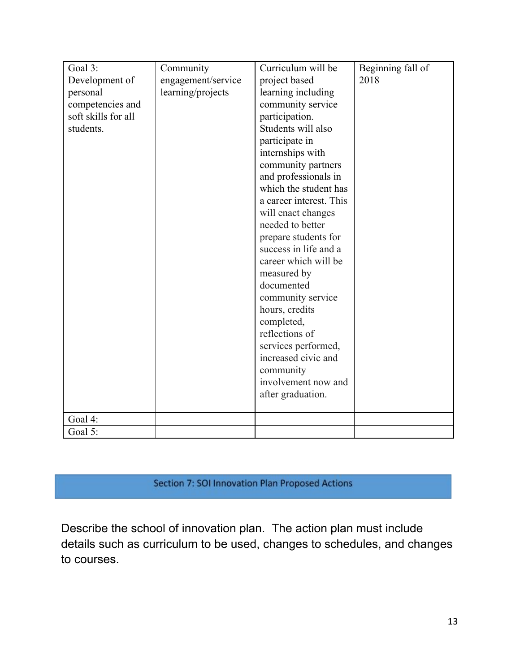| Goal 3:<br>Development of<br>personal<br>competencies and<br>soft skills for all<br>students. | Community<br>engagement/service<br>learning/projects | Curriculum will be<br>project based<br>learning including<br>community service<br>participation.<br>Students will also<br>participate in<br>internships with<br>community partners<br>and professionals in<br>which the student has<br>a career interest. This<br>will enact changes<br>needed to better<br>prepare students for<br>success in life and a<br>career which will be<br>measured by<br>documented<br>community service<br>hours, credits<br>completed,<br>reflections of<br>services performed,<br>increased civic and<br>community<br>involvement now and | Beginning fall of<br>2018 |
|-----------------------------------------------------------------------------------------------|------------------------------------------------------|-------------------------------------------------------------------------------------------------------------------------------------------------------------------------------------------------------------------------------------------------------------------------------------------------------------------------------------------------------------------------------------------------------------------------------------------------------------------------------------------------------------------------------------------------------------------------|---------------------------|
|                                                                                               |                                                      | after graduation.                                                                                                                                                                                                                                                                                                                                                                                                                                                                                                                                                       |                           |
| Goal 4:                                                                                       |                                                      |                                                                                                                                                                                                                                                                                                                                                                                                                                                                                                                                                                         |                           |
| Goal 5:                                                                                       |                                                      |                                                                                                                                                                                                                                                                                                                                                                                                                                                                                                                                                                         |                           |

# Section 7: SOI Innovation Plan Proposed Actions

Describe the school of innovation plan. The action plan must include details such as curriculum to be used, changes to schedules, and changes to courses.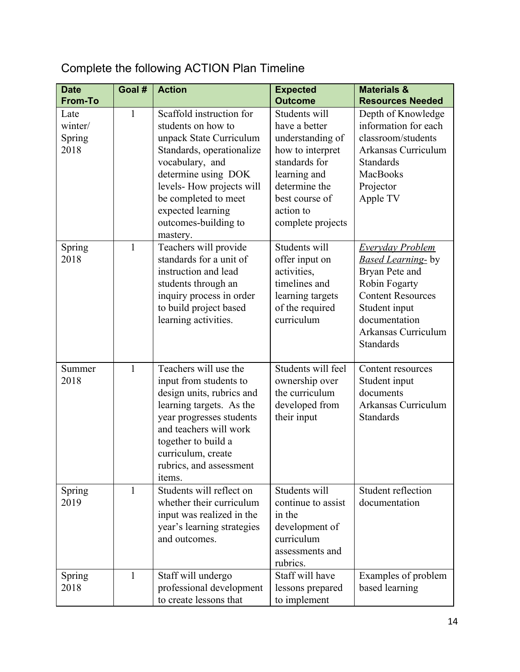#### **Date From-To Goal # Action Expected Outcome Materials & Resources Needed** Late winter/ Spring 2018 1 Scaffold instruction for students on how to unpack State Curriculum Standards, operationalize vocabulary, and determine using DOK levels- How projects will be completed to meet expected learning outcomes-building to mastery. Students will have a better understanding of how to interpret standards for learning and determine the best course of action to complete projects Depth of Knowledge information for each classroom/students Arkansas Curriculum Standards MacBooks Projector Apple TV Spring 2018 1 Teachers will provide standards for a unit of instruction and lead students through an inquiry process in order to build project based learning activities. Students will offer input on activities, timelines and learning targets of the required curriculum *Everyday Problem Based Learning-* by Bryan Pete and Robin Fogarty Content Resources Student input documentation Arkansas Curriculum **Standards** Summer 2018 1 Teachers will use the input from students to design units, rubrics and learning targets. As the year progresses students and teachers will work together to build a curriculum, create rubrics, and assessment items. Students will feel ownership over the curriculum developed from their input Content resources Student input documents Arkansas Curriculum **Standards** Spring 2019 1 Students will reflect on whether their curriculum input was realized in the year's learning strategies and outcomes. Students will continue to assist in the development of curriculum assessments and rubrics. Student reflection documentation Spring 2018 1 Staff will undergo professional development to create lessons that Staff will have lessons prepared to implement Examples of problem based learning

# Complete the following ACTION Plan Timeline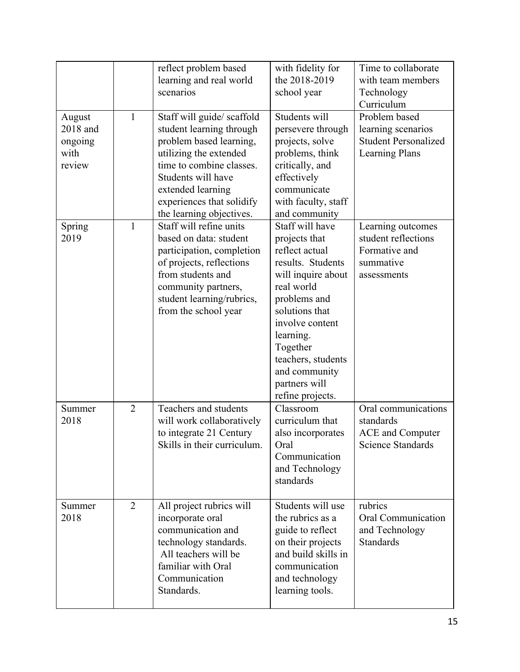|                                                 |                | reflect problem based<br>learning and real world<br>scenarios                                                                                                                                                                               | with fidelity for<br>the 2018-2019<br>school year                                                                                                                                                                                                                     | Time to collaborate<br>with team members<br>Technology<br>Curriculum                        |
|-------------------------------------------------|----------------|---------------------------------------------------------------------------------------------------------------------------------------------------------------------------------------------------------------------------------------------|-----------------------------------------------------------------------------------------------------------------------------------------------------------------------------------------------------------------------------------------------------------------------|---------------------------------------------------------------------------------------------|
| August<br>2018 and<br>ongoing<br>with<br>review | $\mathbf{1}$   | Staff will guide/ scaffold<br>student learning through<br>problem based learning,<br>utilizing the extended<br>time to combine classes.<br>Students will have<br>extended learning<br>experiences that solidify<br>the learning objectives. | Students will<br>persevere through<br>projects, solve<br>problems, think<br>critically, and<br>effectively<br>communicate<br>with faculty, staff<br>and community                                                                                                     | Problem based<br>learning scenarios<br><b>Student Personalized</b><br><b>Learning Plans</b> |
| Spring<br>2019                                  | $\mathbf{1}$   | Staff will refine units<br>based on data: student<br>participation, completion<br>of projects, reflections<br>from students and<br>community partners,<br>student learning/rubrics,<br>from the school year                                 | Staff will have<br>projects that<br>reflect actual<br>results. Students<br>will inquire about<br>real world<br>problems and<br>solutions that<br>involve content<br>learning.<br>Together<br>teachers, students<br>and community<br>partners will<br>refine projects. | Learning outcomes<br>student reflections<br>Formative and<br>summative<br>assessments       |
| Summer<br>2018                                  | $\overline{2}$ | Teachers and students<br>will work collaboratively<br>to integrate 21 Century<br>Skills in their curriculum.                                                                                                                                | Classroom<br>curriculum that<br>also incorporates<br>Oral<br>Communication<br>and Technology<br>standards                                                                                                                                                             | Oral communications<br>standards<br><b>ACE</b> and Computer<br><b>Science Standards</b>     |
| Summer<br>2018                                  | $\overline{2}$ | All project rubrics will<br>incorporate oral<br>communication and<br>technology standards.<br>All teachers will be<br>familiar with Oral<br>Communication<br>Standards.                                                                     | Students will use<br>the rubrics as a<br>guide to reflect<br>on their projects<br>and build skills in<br>communication<br>and technology<br>learning tools.                                                                                                           | rubrics<br><b>Oral Communication</b><br>and Technology<br><b>Standards</b>                  |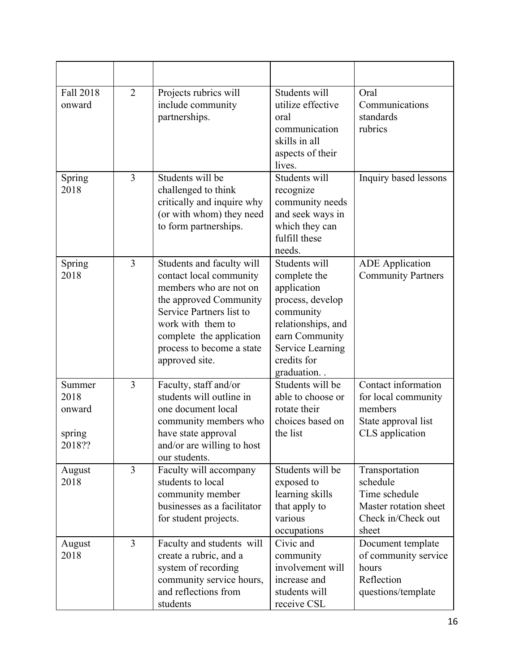| Fall 2018<br>onward                          | $\overline{2}$ | Projects rubrics will<br>include community<br>partnerships.                                                                                                                                                                          | Students will<br>utilize effective<br>oral<br>communication<br>skills in all<br>aspects of their<br>lives.                                                             | Oral<br>Communications<br>standards<br>rubrics                                                      |
|----------------------------------------------|----------------|--------------------------------------------------------------------------------------------------------------------------------------------------------------------------------------------------------------------------------------|------------------------------------------------------------------------------------------------------------------------------------------------------------------------|-----------------------------------------------------------------------------------------------------|
| Spring<br>2018                               | 3              | Students will be<br>challenged to think<br>critically and inquire why<br>(or with whom) they need<br>to form partnerships.                                                                                                           | Students will<br>recognize<br>community needs<br>and seek ways in<br>which they can<br>fulfill these<br>needs.                                                         | Inquiry based lessons                                                                               |
| Spring<br>2018                               | $\overline{3}$ | Students and faculty will<br>contact local community<br>members who are not on<br>the approved Community<br>Service Partners list to<br>work with them to<br>complete the application<br>process to become a state<br>approved site. | Students will<br>complete the<br>application<br>process, develop<br>community<br>relationships, and<br>earn Community<br>Service Learning<br>credits for<br>graduation | <b>ADE</b> Application<br><b>Community Partners</b>                                                 |
| Summer<br>2018<br>onward<br>spring<br>2018?? | $\overline{3}$ | Faculty, staff and/or<br>students will outline in<br>one document local<br>community members who<br>have state approval<br>and/or are willing to host<br>our students.                                                               | Students will be<br>able to choose or<br>rotate their<br>choices based on<br>the list                                                                                  | Contact information<br>for local community<br>members<br>State approval list<br>CLS application     |
| August<br>2018                               | $\overline{3}$ | Faculty will accompany<br>students to local<br>community member<br>businesses as a facilitator<br>for student projects.                                                                                                              | Students will be<br>exposed to<br>learning skills<br>that apply to<br>various<br>occupations                                                                           | Transportation<br>schedule<br>Time schedule<br>Master rotation sheet<br>Check in/Check out<br>sheet |
| August<br>2018                               | $\overline{3}$ | Faculty and students will<br>create a rubric, and a<br>system of recording<br>community service hours,<br>and reflections from<br>students                                                                                           | Civic and<br>community<br>involvement will<br>increase and<br>students will<br>receive CSL                                                                             | Document template<br>of community service<br>hours<br>Reflection<br>questions/template              |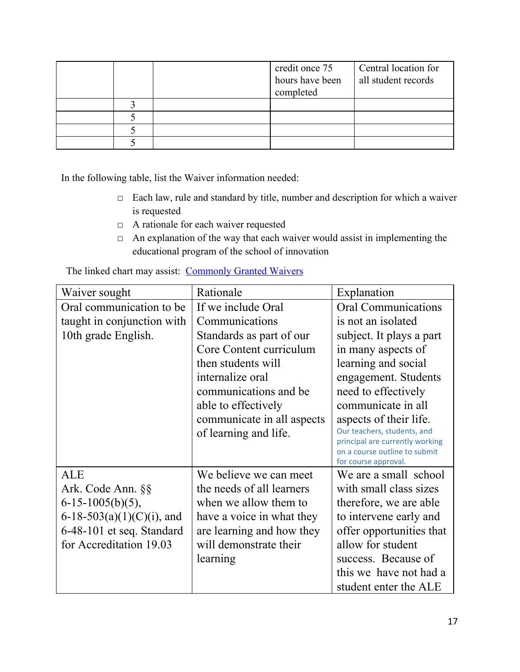|  | credit once 75<br>hours have been<br>completed | Central location for<br>all student records |
|--|------------------------------------------------|---------------------------------------------|
|  |                                                |                                             |
|  |                                                |                                             |
|  |                                                |                                             |
|  |                                                |                                             |

In the following table, list the Waiver information needed:

- □ Each law, rule and standard by title, number and description for which a waiver is requested
- □ A rationale for each waiver requested
- $\Box$  An explanation of the way that each waiver would assist in implementing the educational program of the school of innovation

The linked chart may assist: [Commonly Granted Waivers](http://www.arkansased.gov/public/userfiles/Learning_Services/Charter%20and%20Home%20School/Charter%20School-Division%20of%20Learning%20Services/Applications/Waiver_Document.pdf)

| Waiver sought              | Rationale                  | Explanation                                                      |
|----------------------------|----------------------------|------------------------------------------------------------------|
| Oral communication to be.  | If we include Oral         | <b>Oral Communications</b>                                       |
| taught in conjunction with | Communications             | is not an isolated                                               |
| 10th grade English.        | Standards as part of our   | subject. It plays a part                                         |
|                            | Core Content curriculum    | in many aspects of                                               |
|                            | then students will         | learning and social                                              |
|                            | internalize oral           | engagement. Students                                             |
|                            | communications and be.     | need to effectively                                              |
|                            | able to effectively        | communicate in all                                               |
|                            | communicate in all aspects | aspects of their life.                                           |
|                            | of learning and life.      | Our teachers, students, and                                      |
|                            |                            | principal are currently working<br>on a course outline to submit |
|                            |                            | for course approval.                                             |
| <b>ALE</b>                 | We believe we can meet     | We are a small school                                            |
| Ark. Code Ann. §§          | the needs of all learners  | with small class sizes                                           |
| $6-15-1005(b)(5)$ ,        | when we allow them to      | therefore, we are able                                           |
| 6-18-503(a)(1)(C)(i), and  | have a voice in what they  | to intervene early and                                           |
| 6-48-101 et seq. Standard  | are learning and how they  | offer opportunities that                                         |
| for Accreditation 19.03    | will demonstrate their     | allow for student                                                |
|                            | learning                   | success. Because of                                              |
|                            |                            | this we have not had a                                           |
|                            |                            | student enter the ALE                                            |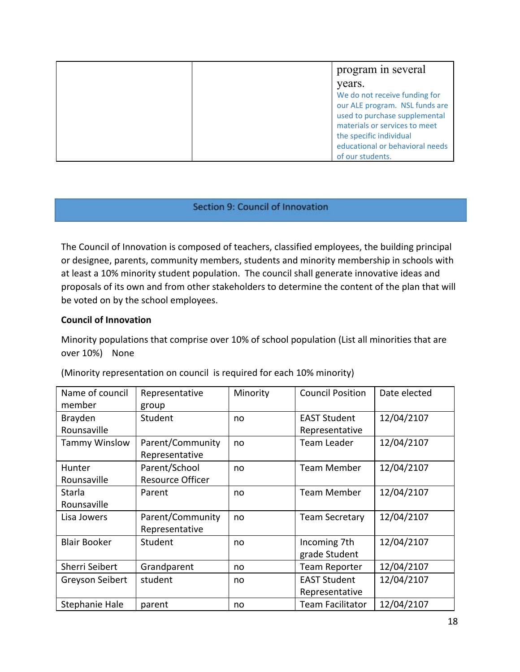| program in several                                                                                                                                                                              |
|-------------------------------------------------------------------------------------------------------------------------------------------------------------------------------------------------|
| years.                                                                                                                                                                                          |
| We do not receive funding for<br>our ALE program. NSL funds are<br>used to purchase supplemental<br>materials or services to meet<br>the specific individual<br>educational or behavioral needs |
| of our students.                                                                                                                                                                                |

#### Section 9: Council of Innovation

The Council of Innovation is composed of teachers, classified employees, the building principal or designee, parents, community members, students and minority membership in schools with at least a 10% minority student population. The council shall generate innovative ideas and proposals of its own and from other stakeholders to determine the content of the plan that will be voted on by the school employees.

#### **Council of Innovation**

Minority populations that comprise over 10% of school population (List all minorities that are over 10%) None

| Name of council      | Representative          | Minority | <b>Council Position</b> | Date elected |
|----------------------|-------------------------|----------|-------------------------|--------------|
| member               | group                   |          |                         |              |
| Brayden              | Student                 | no       | <b>EAST Student</b>     | 12/04/2107   |
| Rounsaville          |                         |          | Representative          |              |
| <b>Tammy Winslow</b> | Parent/Community        | no       | <b>Team Leader</b>      | 12/04/2107   |
|                      | Representative          |          |                         |              |
| Hunter               | Parent/School           | no       | Team Member             | 12/04/2107   |
| Rounsaville          | <b>Resource Officer</b> |          |                         |              |
| Starla               | Parent                  | no       | <b>Team Member</b>      | 12/04/2107   |
| Rounsaville          |                         |          |                         |              |
| Lisa Jowers          | Parent/Community        | no       | <b>Team Secretary</b>   | 12/04/2107   |
|                      | Representative          |          |                         |              |
| <b>Blair Booker</b>  | Student                 | no       | Incoming 7th            | 12/04/2107   |
|                      |                         |          | grade Student           |              |
| Sherri Seibert       | Grandparent             | no       | <b>Team Reporter</b>    | 12/04/2107   |
| Greyson Seibert      | student                 | no       | <b>EAST Student</b>     | 12/04/2107   |
|                      |                         |          | Representative          |              |
| Stephanie Hale       | parent                  | no       | <b>Team Facilitator</b> | 12/04/2107   |

(Minority representation on council is required for each 10% minority)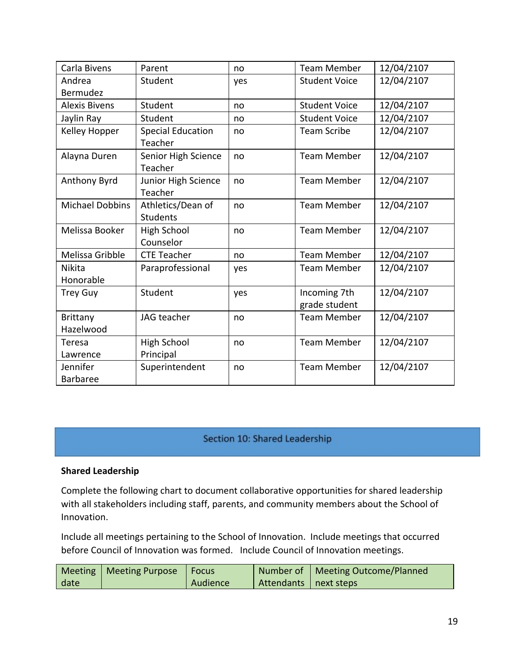| Carla Bivens           | Parent                   | no  | <b>Team Member</b>   | 12/04/2107 |
|------------------------|--------------------------|-----|----------------------|------------|
| Andrea                 | Student                  | yes | <b>Student Voice</b> | 12/04/2107 |
| Bermudez               |                          |     |                      |            |
| <b>Alexis Bivens</b>   | Student                  | no  | <b>Student Voice</b> | 12/04/2107 |
| Jaylin Ray             | Student                  | no  | <b>Student Voice</b> | 12/04/2107 |
| Kelley Hopper          | <b>Special Education</b> | no  | <b>Team Scribe</b>   | 12/04/2107 |
|                        | Teacher                  |     |                      |            |
| Alayna Duren           | Senior High Science      | no  | <b>Team Member</b>   | 12/04/2107 |
|                        | Teacher                  |     |                      |            |
| Anthony Byrd           | Junior High Science      | no  | <b>Team Member</b>   | 12/04/2107 |
|                        | Teacher                  |     |                      |            |
| <b>Michael Dobbins</b> | Athletics/Dean of        | no  | <b>Team Member</b>   | 12/04/2107 |
|                        | <b>Students</b>          |     |                      |            |
| Melissa Booker         | <b>High School</b>       | no  | <b>Team Member</b>   | 12/04/2107 |
|                        | Counselor                |     |                      |            |
| Melissa Gribble        | <b>CTE Teacher</b>       | no  | <b>Team Member</b>   | 12/04/2107 |
| <b>Nikita</b>          | Paraprofessional         | yes | <b>Team Member</b>   | 12/04/2107 |
| Honorable              |                          |     |                      |            |
| <b>Trey Guy</b>        | Student                  | yes | Incoming 7th         | 12/04/2107 |
|                        |                          |     | grade student        |            |
| Brittany               | JAG teacher              | no  | <b>Team Member</b>   | 12/04/2107 |
| Hazelwood              |                          |     |                      |            |
| Teresa                 | High School              | no  | <b>Team Member</b>   | 12/04/2107 |
| Lawrence               | Principal                |     |                      |            |
| Jennifer               | Superintendent           | no  | <b>Team Member</b>   | 12/04/2107 |
| <b>Barbaree</b>        |                          |     |                      |            |

### Section 10: Shared Leadership

#### **Shared Leadership**

Complete the following chart to document collaborative opportunities for shared leadership with all stakeholders including staff, parents, and community members about the School of Innovation.

Include all meetings pertaining to the School of Innovation. Include meetings that occurred before Council of Innovation was formed. Include Council of Innovation meetings.

|      | Meeting   Meeting Purpose   Focus |          |                         | Number of   Meeting Outcome/Planned |
|------|-----------------------------------|----------|-------------------------|-------------------------------------|
| date |                                   | Audience | Attendants   next steps |                                     |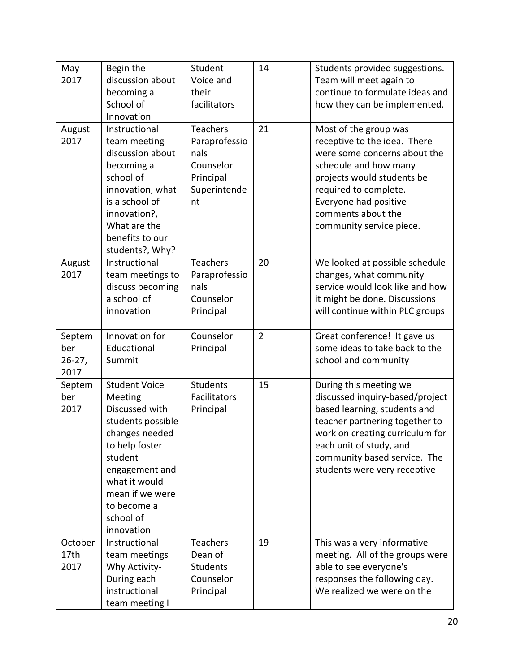| May<br>2017                        | Begin the<br>discussion about<br>becoming a<br>School of<br>Innovation                                                                                                                                                | Student<br>Voice and<br>their<br>facilitators                                            | 14             | Students provided suggestions.<br>Team will meet again to<br>continue to formulate ideas and<br>how they can be implemented.                                                                                                                              |
|------------------------------------|-----------------------------------------------------------------------------------------------------------------------------------------------------------------------------------------------------------------------|------------------------------------------------------------------------------------------|----------------|-----------------------------------------------------------------------------------------------------------------------------------------------------------------------------------------------------------------------------------------------------------|
| August<br>2017                     | Instructional<br>team meeting<br>discussion about<br>becoming a<br>school of<br>innovation, what<br>is a school of<br>innovation?,<br>What are the<br>benefits to our<br>students?, Why?                              | <b>Teachers</b><br>Paraprofessio<br>nals<br>Counselor<br>Principal<br>Superintende<br>nt | 21             | Most of the group was<br>receptive to the idea. There<br>were some concerns about the<br>schedule and how many<br>projects would students be<br>required to complete.<br>Everyone had positive<br>comments about the<br>community service piece.          |
| August<br>2017                     | Instructional<br>team meetings to<br>discuss becoming<br>a school of<br>innovation                                                                                                                                    | Teachers<br>Paraprofessio<br>nals<br>Counselor<br>Principal                              | 20             | We looked at possible schedule<br>changes, what community<br>service would look like and how<br>it might be done. Discussions<br>will continue within PLC groups                                                                                          |
| Septem<br>ber<br>$26 - 27$<br>2017 | Innovation for<br>Educational<br>Summit                                                                                                                                                                               | Counselor<br>Principal                                                                   | $\overline{2}$ | Great conference! It gave us<br>some ideas to take back to the<br>school and community                                                                                                                                                                    |
| Septem<br>ber<br>2017              | <b>Student Voice</b><br>Meeting<br>Discussed with<br>students possible<br>changes needed<br>to help foster<br>student<br>engagement and<br>what it would<br>mean if we were<br>to become a<br>school of<br>innovation | <b>Students</b><br>Facilitators<br>Principal                                             | 15             | During this meeting we<br>discussed inquiry-based/project<br>based learning, students and<br>teacher partnering together to<br>work on creating curriculum for<br>each unit of study, and<br>community based service. The<br>students were very receptive |
| October<br>17th<br>2017            | Instructional<br>team meetings<br>Why Activity-<br>During each<br>instructional<br>team meeting I                                                                                                                     | <b>Teachers</b><br>Dean of<br><b>Students</b><br>Counselor<br>Principal                  | 19             | This was a very informative<br>meeting. All of the groups were<br>able to see everyone's<br>responses the following day.<br>We realized we were on the                                                                                                    |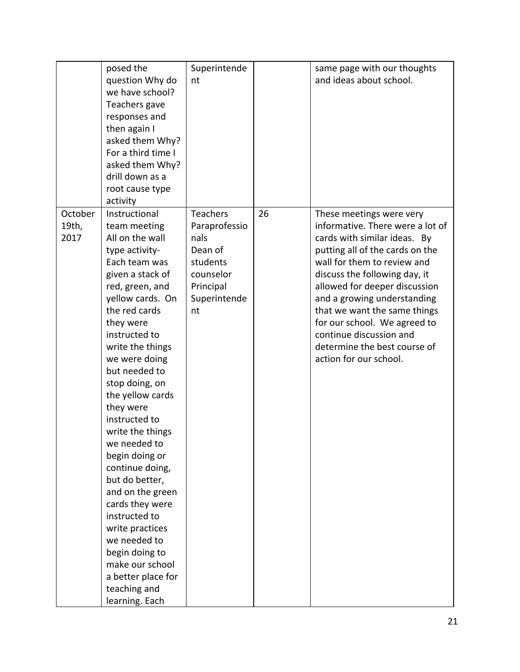|                          | posed the<br>question Why do<br>we have school?<br>Teachers gave<br>responses and<br>then again I<br>asked them Why?<br>For a third time I<br>asked them Why?<br>drill down as a<br>root cause type<br>activity                                                                                                                                                                                                                                                                                                                                                                                            | Superintende<br>nt                                                                                              |    | same page with our thoughts<br>and ideas about school.                                                                                                                                                                                                                                                                                                                                                               |
|--------------------------|------------------------------------------------------------------------------------------------------------------------------------------------------------------------------------------------------------------------------------------------------------------------------------------------------------------------------------------------------------------------------------------------------------------------------------------------------------------------------------------------------------------------------------------------------------------------------------------------------------|-----------------------------------------------------------------------------------------------------------------|----|----------------------------------------------------------------------------------------------------------------------------------------------------------------------------------------------------------------------------------------------------------------------------------------------------------------------------------------------------------------------------------------------------------------------|
| October<br>19th,<br>2017 | Instructional<br>team meeting<br>All on the wall<br>type activity-<br>Each team was<br>given a stack of<br>red, green, and<br>yellow cards. On<br>the red cards<br>they were<br>instructed to<br>write the things<br>we were doing<br>but needed to<br>stop doing, on<br>the yellow cards<br>they were<br>instructed to<br>write the things<br>we needed to<br>begin doing or<br>continue doing,<br>but do better,<br>and on the green<br>cards they were<br>instructed to<br>write practices<br>we needed to<br>begin doing to<br>make our school<br>a better place for<br>teaching and<br>learning. Each | <b>Teachers</b><br>Paraprofessio<br>nals<br>Dean of<br>students<br>counselor<br>Principal<br>Superintende<br>nt | 26 | These meetings were very<br>informative. There were a lot of<br>cards with similar ideas. By<br>putting all of the cards on the<br>wall for them to review and<br>discuss the following day, it<br>allowed for deeper discussion<br>and a growing understanding<br>that we want the same things<br>for our school. We agreed to<br>continue discussion and<br>determine the best course of<br>action for our school. |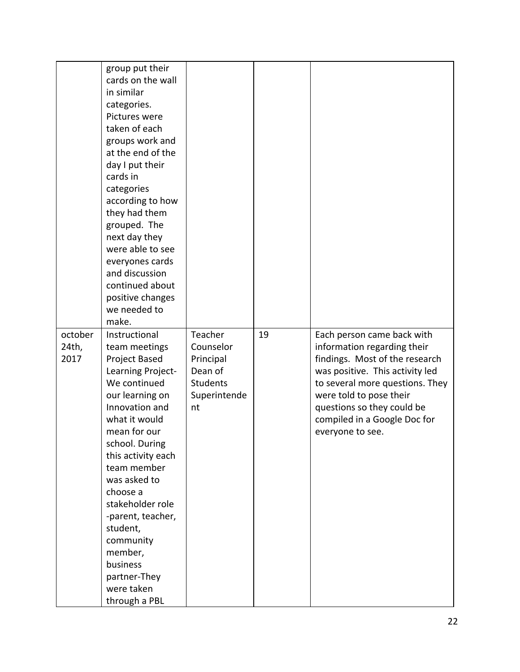|         | group put their    |                 |    |                                 |
|---------|--------------------|-----------------|----|---------------------------------|
|         | cards on the wall  |                 |    |                                 |
|         | in similar         |                 |    |                                 |
|         | categories.        |                 |    |                                 |
|         | Pictures were      |                 |    |                                 |
|         | taken of each      |                 |    |                                 |
|         | groups work and    |                 |    |                                 |
|         | at the end of the  |                 |    |                                 |
|         | day I put their    |                 |    |                                 |
|         | cards in           |                 |    |                                 |
|         | categories         |                 |    |                                 |
|         | according to how   |                 |    |                                 |
|         | they had them      |                 |    |                                 |
|         | grouped. The       |                 |    |                                 |
|         | next day they      |                 |    |                                 |
|         | were able to see   |                 |    |                                 |
|         | everyones cards    |                 |    |                                 |
|         | and discussion     |                 |    |                                 |
|         | continued about    |                 |    |                                 |
|         | positive changes   |                 |    |                                 |
|         | we needed to       |                 |    |                                 |
|         | make.              |                 |    |                                 |
| october | Instructional      | Teacher         | 19 | Each person came back with      |
| 24th,   | team meetings      | Counselor       |    | information regarding their     |
| 2017    | Project Based      | Principal       |    | findings. Most of the research  |
|         | Learning Project-  | Dean of         |    | was positive. This activity led |
|         | We continued       | <b>Students</b> |    | to several more questions. They |
|         | our learning on    | Superintende    |    | were told to pose their         |
|         | Innovation and     | nt              |    | questions so they could be      |
|         | what it would      |                 |    | compiled in a Google Doc for    |
|         | mean for our       |                 |    | everyone to see.                |
|         | school. During     |                 |    |                                 |
|         | this activity each |                 |    |                                 |
|         | team member        |                 |    |                                 |
|         | was asked to       |                 |    |                                 |
|         | choose a           |                 |    |                                 |
|         | stakeholder role   |                 |    |                                 |
|         | -parent, teacher,  |                 |    |                                 |
|         | student,           |                 |    |                                 |
|         | community          |                 |    |                                 |
|         | member,            |                 |    |                                 |
|         | business           |                 |    |                                 |
|         | partner-They       |                 |    |                                 |
|         | were taken         |                 |    |                                 |
|         | through a PBL      |                 |    |                                 |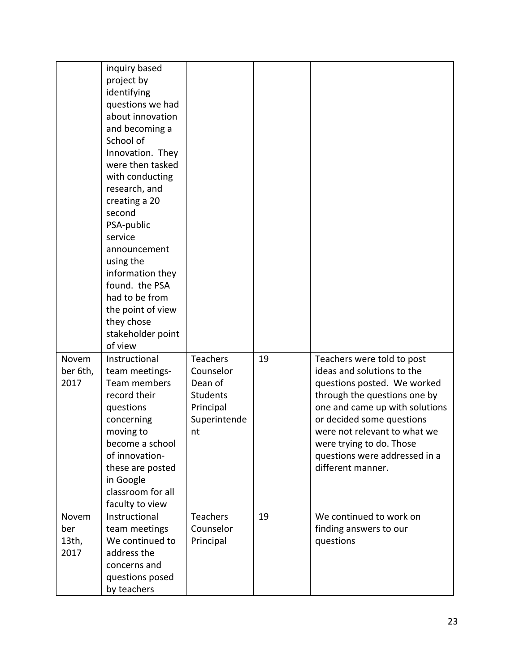|          | inquiry based     |                 |    |                                |
|----------|-------------------|-----------------|----|--------------------------------|
|          | project by        |                 |    |                                |
|          | identifying       |                 |    |                                |
|          | questions we had  |                 |    |                                |
|          | about innovation  |                 |    |                                |
|          | and becoming a    |                 |    |                                |
|          | School of         |                 |    |                                |
|          | Innovation. They  |                 |    |                                |
|          | were then tasked  |                 |    |                                |
|          | with conducting   |                 |    |                                |
|          | research, and     |                 |    |                                |
|          | creating a 20     |                 |    |                                |
|          | second            |                 |    |                                |
|          | PSA-public        |                 |    |                                |
|          | service           |                 |    |                                |
|          | announcement      |                 |    |                                |
|          | using the         |                 |    |                                |
|          | information they  |                 |    |                                |
|          | found. the PSA    |                 |    |                                |
|          | had to be from    |                 |    |                                |
|          | the point of view |                 |    |                                |
|          | they chose        |                 |    |                                |
|          | stakeholder point |                 |    |                                |
|          | of view           |                 |    |                                |
| Novem    | Instructional     | <b>Teachers</b> | 19 | Teachers were told to post     |
| ber 6th, | team meetings-    | Counselor       |    | ideas and solutions to the     |
| 2017     | Team members      | Dean of         |    | questions posted. We worked    |
|          | record their      | <b>Students</b> |    | through the questions one by   |
|          | questions         | Principal       |    | one and came up with solutions |
|          | concerning        | Superintende    |    | or decided some questions      |
|          | moving to         | nt              |    | were not relevant to what we   |
|          | become a school   |                 |    | were trying to do. Those       |
|          | of innovation-    |                 |    | questions were addressed in a  |
|          | these are posted  |                 |    | different manner.              |
|          | in Google         |                 |    |                                |
|          | classroom for all |                 |    |                                |
|          | faculty to view   |                 |    |                                |
| Novem    | Instructional     | <b>Teachers</b> | 19 | We continued to work on        |
| ber      | team meetings     | Counselor       |    | finding answers to our         |
| $13th$ , | We continued to   | Principal       |    | questions                      |
| 2017     | address the       |                 |    |                                |
|          | concerns and      |                 |    |                                |
|          | questions posed   |                 |    |                                |
|          | by teachers       |                 |    |                                |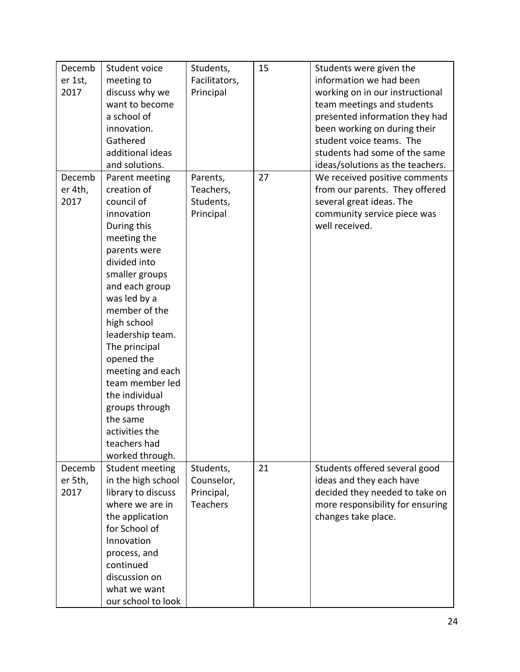| Decemb<br>er 1st,<br>2017 | Student voice<br>meeting to<br>discuss why we<br>want to become<br>a school of<br>innovation.<br>Gathered<br>additional ideas<br>and solutions.                                                                                                                                                                                                                                                            | Students,<br>Facilitators,<br>Principal                  | 15 | Students were given the<br>information we had been<br>working on in our instructional<br>team meetings and students<br>presented information they had<br>been working on during their<br>student voice teams. The<br>students had some of the same<br>ideas/solutions as the teachers. |
|---------------------------|------------------------------------------------------------------------------------------------------------------------------------------------------------------------------------------------------------------------------------------------------------------------------------------------------------------------------------------------------------------------------------------------------------|----------------------------------------------------------|----|----------------------------------------------------------------------------------------------------------------------------------------------------------------------------------------------------------------------------------------------------------------------------------------|
| Decemb<br>er 4th,<br>2017 | Parent meeting<br>creation of<br>council of<br>innovation<br>During this<br>meeting the<br>parents were<br>divided into<br>smaller groups<br>and each group<br>was led by a<br>member of the<br>high school<br>leadership team.<br>The principal<br>opened the<br>meeting and each<br>team member led<br>the individual<br>groups through<br>the same<br>activities the<br>teachers had<br>worked through. | Parents,<br>Teachers,<br>Students,<br>Principal          | 27 | We received positive comments<br>from our parents. They offered<br>several great ideas. The<br>community service piece was<br>well received.                                                                                                                                           |
| Decemb<br>er 5th,<br>2017 | Student meeting<br>in the high school<br>library to discuss<br>where we are in<br>the application<br>for School of<br>Innovation<br>process, and<br>continued<br>discussion on<br>what we want<br>our school to look                                                                                                                                                                                       | Students,<br>Counselor,<br>Principal,<br><b>Teachers</b> | 21 | Students offered several good<br>ideas and they each have<br>decided they needed to take on<br>more responsibility for ensuring<br>changes take place.                                                                                                                                 |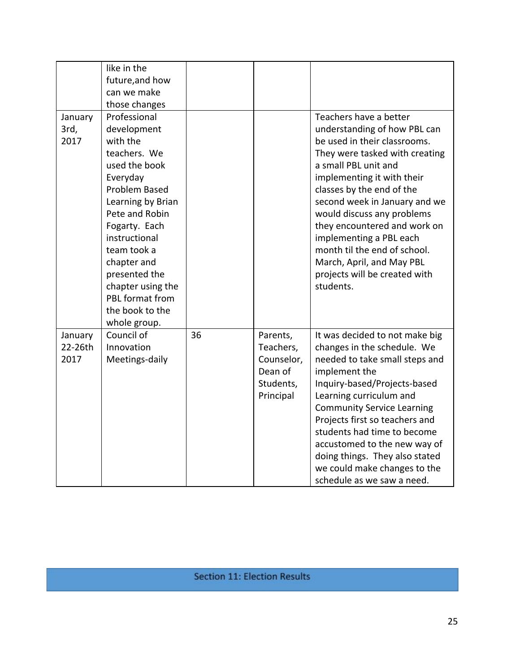| January<br>3rd,<br>2017    | like in the<br>future, and how<br>can we make<br>those changes<br>Professional<br>development<br>with the<br>teachers. We<br>used the book<br>Everyday<br><b>Problem Based</b><br>Learning by Brian<br>Pete and Robin<br>Fogarty. Each<br>instructional<br>team took a<br>chapter and<br>presented the<br>chapter using the<br>PBL format from<br>the book to the<br>whole group. |    |                                                                          | Teachers have a better<br>understanding of how PBL can<br>be used in their classrooms.<br>They were tasked with creating<br>a small PBL unit and<br>implementing it with their<br>classes by the end of the<br>second week in January and we<br>would discuss any problems<br>they encountered and work on<br>implementing a PBL each<br>month til the end of school.<br>March, April, and May PBL<br>projects will be created with<br>students. |
|----------------------------|-----------------------------------------------------------------------------------------------------------------------------------------------------------------------------------------------------------------------------------------------------------------------------------------------------------------------------------------------------------------------------------|----|--------------------------------------------------------------------------|--------------------------------------------------------------------------------------------------------------------------------------------------------------------------------------------------------------------------------------------------------------------------------------------------------------------------------------------------------------------------------------------------------------------------------------------------|
| January<br>22-26th<br>2017 | Council of<br>Innovation<br>Meetings-daily                                                                                                                                                                                                                                                                                                                                        | 36 | Parents,<br>Teachers,<br>Counselor,<br>Dean of<br>Students,<br>Principal | It was decided to not make big<br>changes in the schedule. We<br>needed to take small steps and<br>implement the<br>Inquiry-based/Projects-based<br>Learning curriculum and<br><b>Community Service Learning</b><br>Projects first so teachers and<br>students had time to become<br>accustomed to the new way of<br>doing things. They also stated<br>we could make changes to the<br>schedule as we saw a need.                                |

**Section 11: Election Results**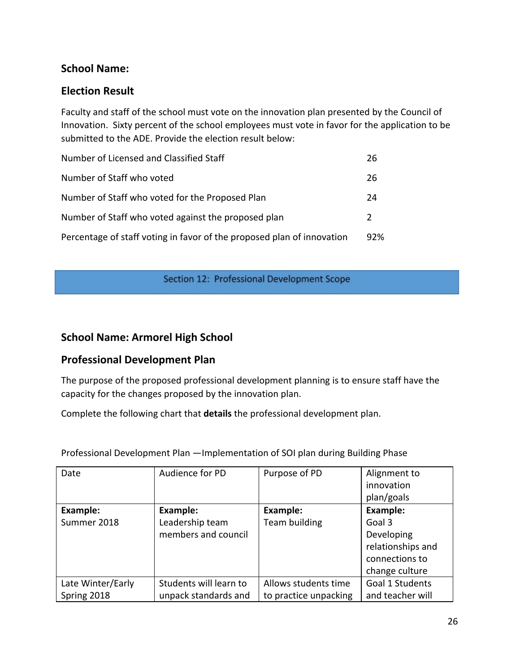# **School Name:**

# **Election Result**

Faculty and staff of the school must vote on the innovation plan presented by the Council of Innovation. Sixty percent of the school employees must vote in favor for the application to be submitted to the ADE. Provide the election result below:

| Number of Licensed and Classified Staff                                | 26            |
|------------------------------------------------------------------------|---------------|
| Number of Staff who voted                                              | 26            |
| Number of Staff who voted for the Proposed Plan                        | 24            |
| Number of Staff who voted against the proposed plan                    | $\mathcal{L}$ |
| Percentage of staff voting in favor of the proposed plan of innovation | 92%           |

Section 12: Professional Development Scope

# **School Name: Armorel High School**

## **Professional Development Plan**

The purpose of the proposed professional development planning is to ensure staff have the capacity for the changes proposed by the innovation plan.

Complete the following chart that **details** the professional development plan.

| Date              | Audience for PD        | Purpose of PD         | Alignment to      |
|-------------------|------------------------|-----------------------|-------------------|
|                   |                        |                       | innovation        |
|                   |                        |                       | plan/goals        |
| Example:          | Example:               | Example:              | <b>Example:</b>   |
| Summer 2018       | Leadership team        | Team building         | Goal 3            |
|                   | members and council    |                       | Developing        |
|                   |                        |                       | relationships and |
|                   |                        |                       | connections to    |
|                   |                        |                       | change culture    |
| Late Winter/Early | Students will learn to | Allows students time  | Goal 1 Students   |
| Spring 2018       | unpack standards and   | to practice unpacking | and teacher will  |

Professional Development Plan —Implementation of SOI plan during Building Phase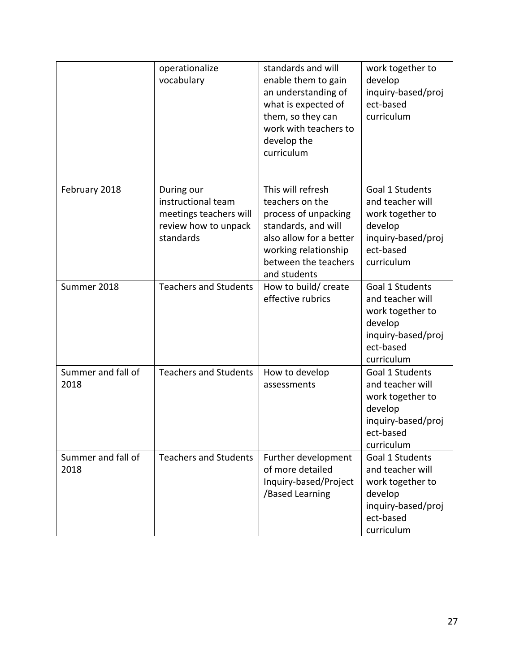|                            | operationalize<br>vocabulary                                                                    | standards and will<br>enable them to gain<br>an understanding of<br>what is expected of<br>them, so they can<br>work with teachers to                                          | work together to<br>develop<br>inquiry-based/proj<br>ect-based<br>curriculum                                        |
|----------------------------|-------------------------------------------------------------------------------------------------|--------------------------------------------------------------------------------------------------------------------------------------------------------------------------------|---------------------------------------------------------------------------------------------------------------------|
|                            |                                                                                                 | develop the<br>curriculum                                                                                                                                                      |                                                                                                                     |
| February 2018              | During our<br>instructional team<br>meetings teachers will<br>review how to unpack<br>standards | This will refresh<br>teachers on the<br>process of unpacking<br>standards, and will<br>also allow for a better<br>working relationship<br>between the teachers<br>and students | Goal 1 Students<br>and teacher will<br>work together to<br>develop<br>inquiry-based/proj<br>ect-based<br>curriculum |
| Summer 2018                | <b>Teachers and Students</b>                                                                    | How to build/ create<br>effective rubrics                                                                                                                                      | Goal 1 Students<br>and teacher will<br>work together to<br>develop<br>inquiry-based/proj<br>ect-based<br>curriculum |
| Summer and fall of<br>2018 | <b>Teachers and Students</b>                                                                    | How to develop<br>assessments                                                                                                                                                  | Goal 1 Students<br>and teacher will<br>work together to<br>develop<br>inquiry-based/proj<br>ect-based<br>curriculum |
| Summer and fall of<br>2018 | <b>Teachers and Students</b>                                                                    | Further development<br>of more detailed<br>Inquiry-based/Project<br>/Based Learning                                                                                            | Goal 1 Students<br>and teacher will<br>work together to<br>develop<br>inquiry-based/proj<br>ect-based<br>curriculum |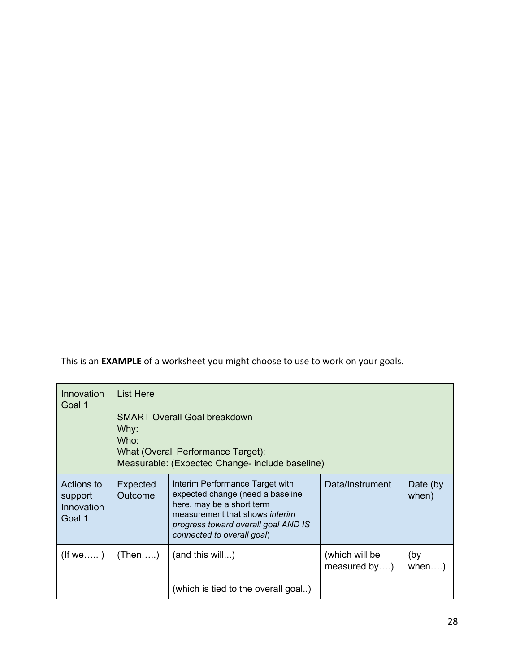This is an **EXAMPLE** of a worksheet you might choose to use to work on your goals.

| Innovation<br>Goal 1                          | List Here<br>Why:<br>Who: | <b>SMART Overall Goal breakdown</b><br>What (Overall Performance Target):<br>Measurable: (Expected Change- include baseline)                                                                            |                                |                   |
|-----------------------------------------------|---------------------------|---------------------------------------------------------------------------------------------------------------------------------------------------------------------------------------------------------|--------------------------------|-------------------|
| Actions to<br>support<br>Innovation<br>Goal 1 | Expected<br>Outcome       | Interim Performance Target with<br>expected change (need a baseline<br>here, may be a short term<br>measurement that shows interim<br>progress toward overall goal AND IS<br>connected to overall goal) | Data/Instrument                | Date (by<br>when) |
| $($ lf we)                                    | (Then)                    | (and this will)<br>(which is tied to the overall goal)                                                                                                                                                  | (which will be<br>measured by) | (by<br>when)      |